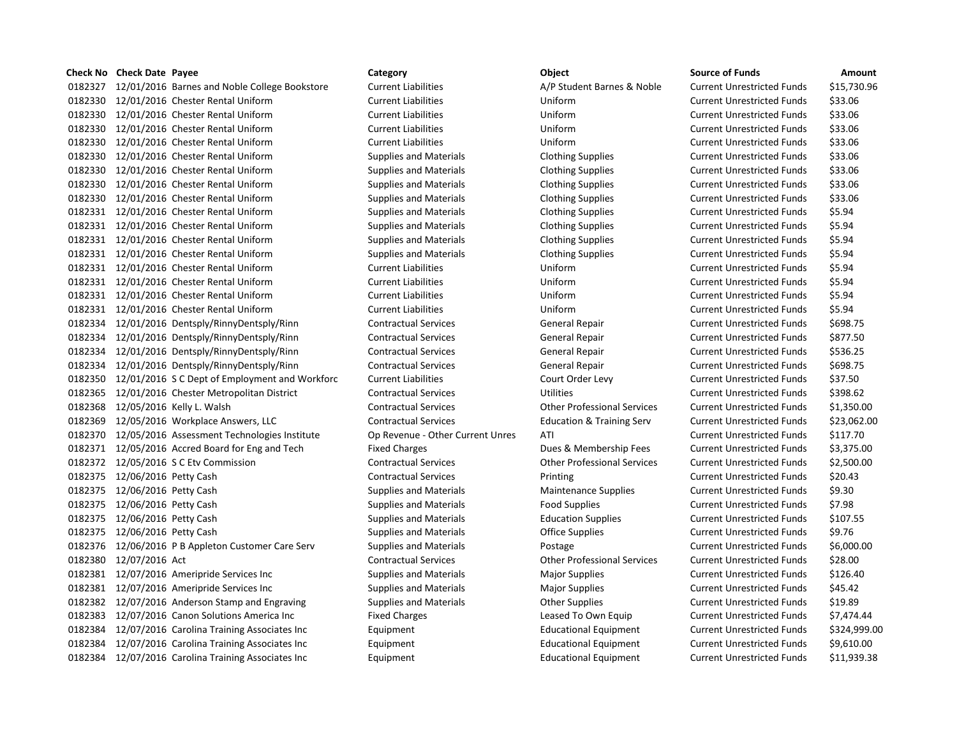|         | Check No Check Date Payee                              | Category                         | Object                               | <b>Source of Funds</b>            | Amount       |
|---------|--------------------------------------------------------|----------------------------------|--------------------------------------|-----------------------------------|--------------|
| 0182327 | 12/01/2016 Barnes and Noble College Bookstore          | <b>Current Liabilities</b>       | A/P Student Barnes & Noble           | <b>Current Unrestricted Funds</b> | \$15,730.96  |
|         | 0182330 12/01/2016 Chester Rental Uniform              | <b>Current Liabilities</b>       | Uniform                              | <b>Current Unrestricted Funds</b> | \$33.06      |
| 0182330 | 12/01/2016 Chester Rental Uniform                      | <b>Current Liabilities</b>       | Uniform                              | <b>Current Unrestricted Funds</b> | \$33.06      |
|         | 0182330 12/01/2016 Chester Rental Uniform              | <b>Current Liabilities</b>       | Uniform                              | <b>Current Unrestricted Funds</b> | \$33.06      |
| 0182330 | 12/01/2016 Chester Rental Uniform                      | <b>Current Liabilities</b>       | Uniform                              | <b>Current Unrestricted Funds</b> | \$33.06      |
|         | 0182330 12/01/2016 Chester Rental Uniform              | <b>Supplies and Materials</b>    | <b>Clothing Supplies</b>             | <b>Current Unrestricted Funds</b> | \$33.06      |
|         | 0182330 12/01/2016 Chester Rental Uniform              | <b>Supplies and Materials</b>    | <b>Clothing Supplies</b>             | <b>Current Unrestricted Funds</b> | \$33.06      |
|         | 0182330 12/01/2016 Chester Rental Uniform              | <b>Supplies and Materials</b>    | <b>Clothing Supplies</b>             | <b>Current Unrestricted Funds</b> | \$33.06      |
| 0182330 | 12/01/2016 Chester Rental Uniform                      | <b>Supplies and Materials</b>    | <b>Clothing Supplies</b>             | <b>Current Unrestricted Funds</b> | \$33.06      |
|         | 0182331 12/01/2016 Chester Rental Uniform              | <b>Supplies and Materials</b>    | <b>Clothing Supplies</b>             | <b>Current Unrestricted Funds</b> | \$5.94       |
|         | 0182331 12/01/2016 Chester Rental Uniform              | <b>Supplies and Materials</b>    | <b>Clothing Supplies</b>             | <b>Current Unrestricted Funds</b> | \$5.94       |
|         | 0182331 12/01/2016 Chester Rental Uniform              | <b>Supplies and Materials</b>    | <b>Clothing Supplies</b>             | <b>Current Unrestricted Funds</b> | \$5.94       |
| 0182331 | 12/01/2016 Chester Rental Uniform                      | <b>Supplies and Materials</b>    | <b>Clothing Supplies</b>             | <b>Current Unrestricted Funds</b> | \$5.94       |
|         | 0182331 12/01/2016 Chester Rental Uniform              | <b>Current Liabilities</b>       | Uniform                              | <b>Current Unrestricted Funds</b> | \$5.94       |
|         | 0182331 12/01/2016 Chester Rental Uniform              | <b>Current Liabilities</b>       | Uniform                              | <b>Current Unrestricted Funds</b> | \$5.94       |
|         | 0182331 12/01/2016 Chester Rental Uniform              | <b>Current Liabilities</b>       | Uniform                              | <b>Current Unrestricted Funds</b> | \$5.94       |
|         | 0182331 12/01/2016 Chester Rental Uniform              | <b>Current Liabilities</b>       | Uniform                              | <b>Current Unrestricted Funds</b> | \$5.94       |
|         | 0182334 12/01/2016 Dentsply/RinnyDentsply/Rinn         | <b>Contractual Services</b>      | General Repair                       | <b>Current Unrestricted Funds</b> | \$698.75     |
| 0182334 | 12/01/2016 Dentsply/RinnyDentsply/Rinn                 | <b>Contractual Services</b>      | General Repair                       | <b>Current Unrestricted Funds</b> | \$877.50     |
| 0182334 | 12/01/2016 Dentsply/RinnyDentsply/Rinn                 | <b>Contractual Services</b>      | General Repair                       | <b>Current Unrestricted Funds</b> | \$536.25     |
| 0182334 | 12/01/2016 Dentsply/RinnyDentsply/Rinn                 | <b>Contractual Services</b>      | General Repair                       | <b>Current Unrestricted Funds</b> | \$698.75     |
|         | 0182350 12/01/2016 S C Dept of Employment and Workforc | <b>Current Liabilities</b>       | Court Order Levy                     | <b>Current Unrestricted Funds</b> | \$37.50      |
| 0182365 | 12/01/2016 Chester Metropolitan District               | <b>Contractual Services</b>      | Utilities                            | <b>Current Unrestricted Funds</b> | \$398.62     |
|         | 0182368 12/05/2016 Kelly L. Walsh                      | <b>Contractual Services</b>      | <b>Other Professional Services</b>   | <b>Current Unrestricted Funds</b> | \$1,350.00   |
| 0182369 | 12/05/2016 Workplace Answers, LLC                      | <b>Contractual Services</b>      | <b>Education &amp; Training Serv</b> | <b>Current Unrestricted Funds</b> | \$23,062.00  |
|         | 0182370 12/05/2016 Assessment Technologies Institute   | Op Revenue - Other Current Unres | ATI                                  | <b>Current Unrestricted Funds</b> | \$117.70     |
|         | 0182371 12/05/2016 Accred Board for Eng and Tech       | <b>Fixed Charges</b>             | Dues & Membership Fees               | <b>Current Unrestricted Funds</b> | \$3,375.00   |
|         | 0182372 12/05/2016 S C Etv Commission                  | <b>Contractual Services</b>      | <b>Other Professional Services</b>   | <b>Current Unrestricted Funds</b> | \$2,500.00   |
| 0182375 | 12/06/2016 Petty Cash                                  | <b>Contractual Services</b>      | Printing                             | <b>Current Unrestricted Funds</b> | \$20.43      |
|         | 0182375 12/06/2016 Petty Cash                          | <b>Supplies and Materials</b>    | <b>Maintenance Supplies</b>          | <b>Current Unrestricted Funds</b> | \$9.30       |
| 0182375 | 12/06/2016 Petty Cash                                  | <b>Supplies and Materials</b>    | <b>Food Supplies</b>                 | <b>Current Unrestricted Funds</b> | \$7.98       |
|         | 0182375 12/06/2016 Petty Cash                          | <b>Supplies and Materials</b>    | <b>Education Supplies</b>            | <b>Current Unrestricted Funds</b> | \$107.55     |
| 0182375 | 12/06/2016 Petty Cash                                  | <b>Supplies and Materials</b>    | <b>Office Supplies</b>               | <b>Current Unrestricted Funds</b> | \$9.76       |
|         | 0182376 12/06/2016 P B Appleton Customer Care Serv     | <b>Supplies and Materials</b>    | Postage                              | <b>Current Unrestricted Funds</b> | \$6,000.00   |
| 0182380 | 12/07/2016 Act                                         | <b>Contractual Services</b>      | <b>Other Professional Services</b>   | <b>Current Unrestricted Funds</b> | \$28.00      |
| 0182381 | 12/07/2016 Ameripride Services Inc                     | <b>Supplies and Materials</b>    | <b>Major Supplies</b>                | <b>Current Unrestricted Funds</b> | \$126.40     |
| 0182381 | 12/07/2016 Ameripride Services Inc                     | <b>Supplies and Materials</b>    | <b>Major Supplies</b>                | <b>Current Unrestricted Funds</b> | \$45.42      |
|         | 0182382 12/07/2016 Anderson Stamp and Engraving        | <b>Supplies and Materials</b>    | <b>Other Supplies</b>                | <b>Current Unrestricted Funds</b> | \$19.89      |
| 0182383 | 12/07/2016 Canon Solutions America Inc                 | <b>Fixed Charges</b>             | Leased To Own Equip                  | <b>Current Unrestricted Funds</b> | \$7,474.44   |
| 0182384 | 12/07/2016 Carolina Training Associates Inc            | Equipment                        | <b>Educational Equipment</b>         | <b>Current Unrestricted Funds</b> | \$324,999.00 |
| 0182384 | 12/07/2016 Carolina Training Associates Inc            | Equipment                        | <b>Educational Equipment</b>         | <b>Current Unrestricted Funds</b> | \$9,610.00   |
|         | 0182384 12/07/2016 Carolina Training Associates Inc    | Equipment                        | <b>Educational Equipment</b>         | <b>Current Unrestricted Funds</b> | \$11,939.38  |

| <b>Category</b>                  | Object                               | Sou    |
|----------------------------------|--------------------------------------|--------|
| <b>Current Liabilities</b>       | A/P Student Barnes & Noble           | Curi   |
| <b>Current Liabilities</b>       | Uniform                              | Curi   |
| <b>Current Liabilities</b>       | Uniform                              | Curi   |
| <b>Current Liabilities</b>       | Uniform                              | Curi   |
| <b>Current Liabilities</b>       | Uniform                              | Curi   |
| <b>Supplies and Materials</b>    | <b>Clothing Supplies</b>             | Curi   |
| <b>Supplies and Materials</b>    | <b>Clothing Supplies</b>             | Curi   |
| <b>Supplies and Materials</b>    | <b>Clothing Supplies</b>             | Curi   |
| <b>Supplies and Materials</b>    | <b>Clothing Supplies</b>             | Curi   |
| <b>Supplies and Materials</b>    | <b>Clothing Supplies</b>             | Curi   |
| <b>Supplies and Materials</b>    | <b>Clothing Supplies</b>             | Curi   |
| <b>Supplies and Materials</b>    | <b>Clothing Supplies</b>             | Curi   |
| <b>Supplies and Materials</b>    | <b>Clothing Supplies</b>             | Curi   |
| <b>Current Liabilities</b>       | Uniform                              | Curi   |
| <b>Current Liabilities</b>       | Uniform                              | Curi   |
| <b>Current Liabilities</b>       | Uniform                              | Curi   |
| <b>Current Liabilities</b>       | Uniform                              | Curi   |
| <b>Contractual Services</b>      | General Repair                       | Curi   |
| <b>Contractual Services</b>      | <b>General Repair</b>                | Curi   |
| <b>Contractual Services</b>      | General Repair                       | Curi   |
| <b>Contractual Services</b>      | <b>General Repair</b>                | Curi   |
| <b>Current Liabilities</b>       | Court Order Levy                     | Curi   |
| <b>Contractual Services</b>      | Utilities                            | Curi   |
| <b>Contractual Services</b>      | <b>Other Professional Services</b>   | Curi   |
| <b>Contractual Services</b>      | <b>Education &amp; Training Serv</b> | Curi   |
| Op Revenue - Other Current Unres | ATI                                  | Curi   |
| <b>Fixed Charges</b>             | Dues & Membership Fees               | Curi   |
| <b>Contractual Services</b>      | <b>Other Professional Services</b>   | Curi   |
| <b>Contractual Services</b>      | Printing                             | Curi   |
| <b>Supplies and Materials</b>    | <b>Maintenance Supplies</b>          | Curi   |
| <b>Supplies and Materials</b>    | <b>Food Supplies</b>                 | Curi   |
| <b>Supplies and Materials</b>    | <b>Education Supplies</b>            | Curi   |
| <b>Supplies and Materials</b>    | <b>Office Supplies</b>               | Curi   |
| <b>Supplies and Materials</b>    | Postage                              | Curi   |
| <b>Contractual Services</b>      | <b>Other Professional Services</b>   | Curi   |
| <b>Supplies and Materials</b>    | <b>Major Supplies</b>                | Curi   |
| <b>Supplies and Materials</b>    | <b>Major Supplies</b>                | Curi   |
| <b>Supplies and Materials</b>    | <b>Other Supplies</b>                | Curi   |
| <b>Fixed Charges</b>             | Leased To Own Equip                  | Curi   |
| Equipment                        | <b>Educational Equipment</b>         | Curi   |
| Equipment                        | <b>Educational Equipment</b>         | Curi   |
|                                  | ロジー しょうりょう オトロットリー                   | $\sim$ |

| Category                         | Object                               | <b>Source of Funds</b>            | Amount       |
|----------------------------------|--------------------------------------|-----------------------------------|--------------|
| <b>Current Liabilities</b>       | A/P Student Barnes & Noble           | <b>Current Unrestricted Funds</b> | \$15,730.96  |
| <b>Current Liabilities</b>       | Uniform                              | <b>Current Unrestricted Funds</b> | \$33.06      |
| <b>Current Liabilities</b>       | Uniform                              | <b>Current Unrestricted Funds</b> | \$33.06      |
| <b>Current Liabilities</b>       | Uniform                              | <b>Current Unrestricted Funds</b> | \$33.06      |
| <b>Current Liabilities</b>       | Uniform                              | <b>Current Unrestricted Funds</b> | \$33.06      |
| <b>Supplies and Materials</b>    | <b>Clothing Supplies</b>             | <b>Current Unrestricted Funds</b> | \$33.06      |
| <b>Supplies and Materials</b>    | <b>Clothing Supplies</b>             | <b>Current Unrestricted Funds</b> | \$33.06      |
| <b>Supplies and Materials</b>    | <b>Clothing Supplies</b>             | <b>Current Unrestricted Funds</b> | \$33.06      |
| <b>Supplies and Materials</b>    | <b>Clothing Supplies</b>             | <b>Current Unrestricted Funds</b> | \$33.06      |
| <b>Supplies and Materials</b>    | <b>Clothing Supplies</b>             | <b>Current Unrestricted Funds</b> | \$5.94       |
| <b>Supplies and Materials</b>    | <b>Clothing Supplies</b>             | <b>Current Unrestricted Funds</b> | \$5.94       |
| <b>Supplies and Materials</b>    | <b>Clothing Supplies</b>             | <b>Current Unrestricted Funds</b> | \$5.94       |
| <b>Supplies and Materials</b>    | <b>Clothing Supplies</b>             | <b>Current Unrestricted Funds</b> | \$5.94       |
| <b>Current Liabilities</b>       | Uniform                              | <b>Current Unrestricted Funds</b> | \$5.94       |
| <b>Current Liabilities</b>       | Uniform                              | <b>Current Unrestricted Funds</b> | \$5.94       |
| <b>Current Liabilities</b>       | Uniform                              | <b>Current Unrestricted Funds</b> | \$5.94       |
| <b>Current Liabilities</b>       | Uniform                              | <b>Current Unrestricted Funds</b> | \$5.94       |
| <b>Contractual Services</b>      | General Repair                       | <b>Current Unrestricted Funds</b> | \$698.75     |
| <b>Contractual Services</b>      | General Repair                       | <b>Current Unrestricted Funds</b> | \$877.50     |
| <b>Contractual Services</b>      | General Repair                       | <b>Current Unrestricted Funds</b> | \$536.25     |
| <b>Contractual Services</b>      | <b>General Repair</b>                | <b>Current Unrestricted Funds</b> | \$698.75     |
| <b>Current Liabilities</b>       | Court Order Levy                     | <b>Current Unrestricted Funds</b> | \$37.50      |
| <b>Contractual Services</b>      | <b>Utilities</b>                     | <b>Current Unrestricted Funds</b> | \$398.62     |
| <b>Contractual Services</b>      | <b>Other Professional Services</b>   | <b>Current Unrestricted Funds</b> | \$1,350.00   |
| <b>Contractual Services</b>      | <b>Education &amp; Training Serv</b> | <b>Current Unrestricted Funds</b> | \$23,062.00  |
| Op Revenue - Other Current Unres | ATI                                  | <b>Current Unrestricted Funds</b> | \$117.70     |
| <b>Fixed Charges</b>             | Dues & Membership Fees               | <b>Current Unrestricted Funds</b> | \$3,375.00   |
| <b>Contractual Services</b>      | <b>Other Professional Services</b>   | <b>Current Unrestricted Funds</b> | \$2,500.00   |
| <b>Contractual Services</b>      | Printing                             | <b>Current Unrestricted Funds</b> | \$20.43      |
| <b>Supplies and Materials</b>    | <b>Maintenance Supplies</b>          | <b>Current Unrestricted Funds</b> | \$9.30       |
| <b>Supplies and Materials</b>    | <b>Food Supplies</b>                 | <b>Current Unrestricted Funds</b> | \$7.98       |
| <b>Supplies and Materials</b>    | <b>Education Supplies</b>            | <b>Current Unrestricted Funds</b> | \$107.55     |
| <b>Supplies and Materials</b>    | <b>Office Supplies</b>               | <b>Current Unrestricted Funds</b> | \$9.76       |
| <b>Supplies and Materials</b>    | Postage                              | <b>Current Unrestricted Funds</b> | \$6,000.00   |
| <b>Contractual Services</b>      | <b>Other Professional Services</b>   | <b>Current Unrestricted Funds</b> | \$28.00      |
| <b>Supplies and Materials</b>    | <b>Major Supplies</b>                | <b>Current Unrestricted Funds</b> | \$126.40     |
| <b>Supplies and Materials</b>    | <b>Major Supplies</b>                | <b>Current Unrestricted Funds</b> | \$45.42      |
| <b>Supplies and Materials</b>    | <b>Other Supplies</b>                | <b>Current Unrestricted Funds</b> | \$19.89      |
| <b>Fixed Charges</b>             | Leased To Own Equip                  | <b>Current Unrestricted Funds</b> | \$7,474.44   |
| Equipment                        | <b>Educational Equipment</b>         | <b>Current Unrestricted Funds</b> | \$324,999.00 |
| Equipment                        | <b>Educational Equipment</b>         | <b>Current Unrestricted Funds</b> | \$9,610.00   |
| Equipment                        | <b>Educational Equipment</b>         | <b>Current Unrestricted Funds</b> | \$11,939.38  |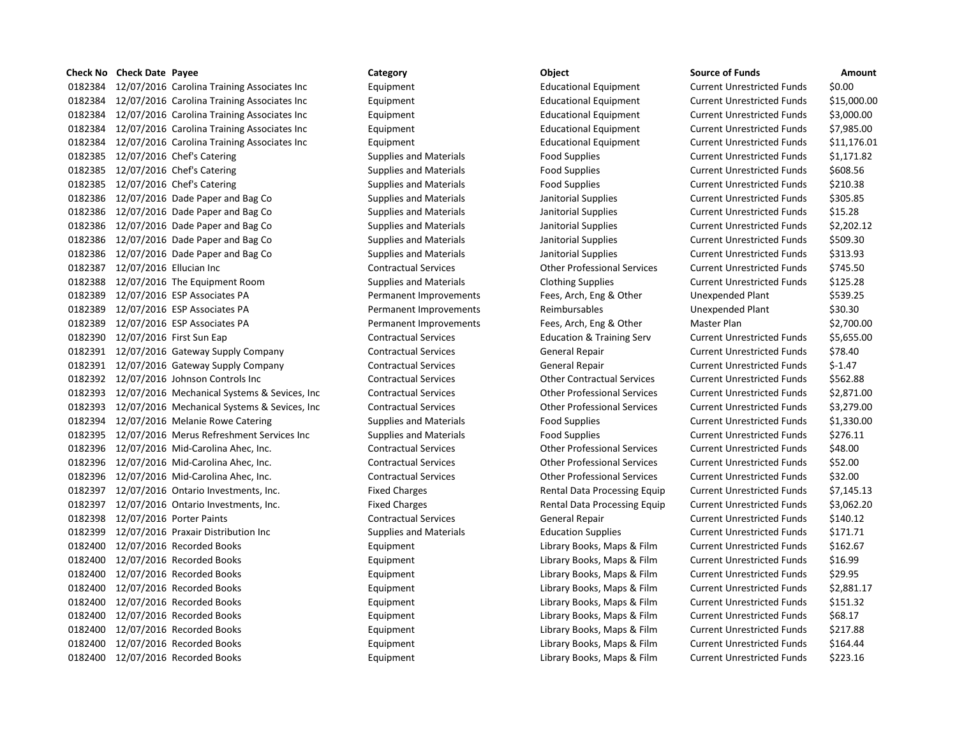## **Check No Check Date Payee Category Category Category Category Check No Check Date Source of Funds Amount**

 12/07/2016 Carolina Training Associates Inc Equipment Educational Equipment Current Unrestricted Funds \$0.00 12/07/2016 Carolina Training Associates Inc Equipment Educational Equipment Current Unrestricted Funds \$15,000.00 12/07/2016 Carolina Training Associates Inc Equipment Educational Equipment Current Unrestricted Funds \$3,000.00 12/07/2016 Carolina Training Associates Inc Equipment Educational Equipment Current Unrestricted Funds \$7,985.00 12/07/2016 Carolina Training Associates Inc Equipment Educational Equipment Current Unrestricted Funds \$11,176.01 0182385 12/07/2016 Chef's Catering The Supplies and Materials Food Supplies Current Unrestricted Funds \$1,171.82 0182385 12/07/2016 Chef's Catering The Supplies and Materials Theod Supplies Current Unrestricted Funds \$608.56 0182385 12/07/2016 Chef's Catering The Supplies and Materials Food Supplies Current Unrestricted Funds \$210.38 12/07/2016 Dade Paper and Bag Co Supplies and Materials Janitorial Supplies Current Unrestricted Funds \$305.85 0182386 12/07/2016 Dade Paper and Bag Co Supplies and Materials Janitorial Supplies Current Unrestricted Funds \$15.28 12/07/2016 Dade Paper and Bag Co Supplies and Materials Janitorial Supplies Current Unrestricted Funds \$2,202.12 0182386 12/07/2016 Dade Paper and Bag Co Supplies and Materials Janitorial Supplies Current Unrestricted Funds \$509.30 12/07/2016 Dade Paper and Bag Co Supplies and Materials Janitorial Supplies Current Unrestricted Funds \$313.93 12/07/2016 Ellucian Inc Contractual Services Other Professional Services Current Unrestricted Funds \$745.50 12/07/2016 The Equipment Room Supplies and Materials Clothing Supplies Current Unrestricted Funds \$125.28 12/07/2016 ESP Associates PA Permanent Improvements Fees, Arch, Eng & Other Unexpended Plant \$539.25 0182389 12/07/2016 ESP Associates PA **Permanent Improvements** Reimbursables Unexpended Plant \$30.30 12/07/2016 ESP Associates PA Permanent Improvements Fees, Arch, Eng & Other Master Plan \$2,700.00 12/07/2016 First Sun Eap Contractual Services Education & Training Serv Current Unrestricted Funds \$5,655.00 12/07/2016 Gateway Supply Company Contractual Services General Repair Current Unrestricted Funds \$78.40 0182391 12/07/2016 Gateway Supply Company Contractual Services General Repair Current Unrestricted Funds \$-1.47 12/07/2016 Johnson Controls Inc Contractual Services Other Contractual Services Current Unrestricted Funds \$562.88 12/07/2016 Mechanical Systems & Sevices, Inc Contractual Services Other Professional Services Current Unrestricted Funds \$2,871.00 12/07/2016 Mechanical Systems & Sevices, Inc Contractual Services Other Professional Services Current Unrestricted Funds \$3,279.00 0182394 12/07/2016 Melanie Rowe Catering Supplies and Materials Food Supplies Current Unrestricted Funds \$1,330.00 0182395 12/07/2016 Merus Refreshment Services Inc Supplies and Materials Food Supplies Current Unrestricted Funds 5276.11 12/07/2016 Mid-Carolina Ahec, Inc. Contractual Services Other Professional Services Current Unrestricted Funds \$48.00 12/07/2016 Mid-Carolina Ahec, Inc. Contractual Services Other Professional Services Current Unrestricted Funds \$52.00 12/07/2016 Mid-Carolina Ahec, Inc. Contractual Services Other Professional Services Current Unrestricted Funds \$32.00 0182397 12/07/2016 Ontario Investments, Inc. Fixed Charges Fixed Charges Rental Data Processing Equip Current Unrestricted Funds \$7,145.13 12/07/2016 Ontario Investments, Inc. Fixed Charges Rental Data Processing Equip Current Unrestricted Funds \$3,062.20 12/07/2016 Porter Paints Contractual Services General Repair Current Unrestricted Funds \$140.12 0182399 12/07/2016 Praxair Distribution Inc Supplies and Materials Education Supplies Current Unrestricted Funds \$171.71 0182400 12/07/2016 Recorded Books **Equipment** Equipment Library Books, Maps & Film Current Unrestricted Funds \$162.67 12/07/2016 Recorded Books Equipment Library Books, Maps & Film Current Unrestricted Funds \$16.99 12/07/2016 Recorded Books Equipment Library Books, Maps & Film Current Unrestricted Funds \$29.95 12/07/2016 Recorded Books Equipment Library Books, Maps & Film Current Unrestricted Funds \$2,881.17 0182400 12/07/2016 Recorded Books **Equipment** Equipment Library Books, Maps & Film Current Unrestricted Funds \$151.32 12/07/2016 Recorded Books Equipment Library Books, Maps & Film Current Unrestricted Funds \$68.17 12/07/2016 Recorded Books Equipment Library Books, Maps & Film Current Unrestricted Funds \$217.88 0182400 12/07/2016 Recorded Books **Equipment** Equipment Library Books, Maps & Film Current Unrestricted Funds \$164.44 0182400 12/07/2016 Recorded Books **Equipment** Equipment Library Books, Maps & Film Current Unrestricted Funds \$223.16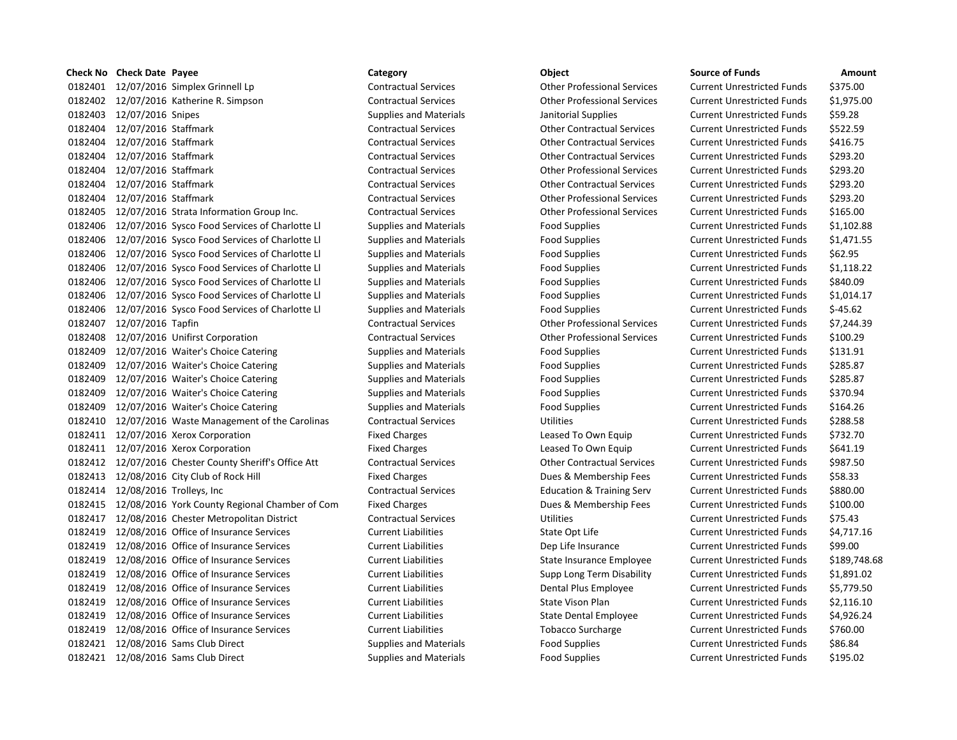# **Check No Check Date Payee Category Category Category Category Check No Check Date Source of Funds Amount** 0182401 12/07/2016 Simplex Grinnell Lp Contractual Services Other Professional Services Current Unrestricted Funds \$375.00 0182402 12/07/2016 Katherine R. Simpson Contractual Services Other Professional Services Current Unrestricted Funds \$1,975.00 0182403 12/07/2016 Snipes Supplies and Materials Janitorial Supplies Current Unrestricted Funds \$59.28 0182404 12/07/2016 Staffmark Contractual Services Other Contractual Services Current Unrestricted Funds \$522.59 0182404 12/07/2016 Staffmark Contractual Services Other Contractual Services Current Unrestricted Funds \$416.75 0182404 12/07/2016 Staffmark Contractual Services Other Contractual Services Current Unrestricted Funds \$293.20 0182404 12/07/2016 Staffmark Contractual Services Other Professional Services Current Unrestricted Funds \$293.20 0182404 12/07/2016 Staffmark Contractual Services Other Contractual Services Current Unrestricted Funds \$293.20 0182404 12/07/2016 Staffmark Contractual Services Other Professional Services Current Unrestricted Funds \$293.20 0182405 12/07/2016 Strata Information Group Inc. Contractual Services Other Professional Services Current Unrestricted Funds \$165.00 0182406 12/07/2016 Sysco Food Services of Charlotte Ll Supplies and Materials Food Supplies Current Unrestricted Funds \$1,102.88 0182406 12/07/2016 Sysco Food Services of Charlotte Ll Supplies and Materials Food Supplies Current Unrestricted Funds \$1,471.55 0182406 12/07/2016 Sysco Food Services of Charlotte Ll Supplies and Materials Food Supplies Current Unrestricted Funds \$62.95 0182406 12/07/2016 Sysco Food Services of Charlotte Ll Supplies and Materials Food Supplies Current Unrestricted Funds \$1,118.22 0182406 12/07/2016 Sysco Food Services of Charlotte Ll Supplies and Materials Food Supplies Current Unrestricted Funds \$840.09 0182406 12/07/2016 Sysco Food Services of Charlotte Ll Supplies and Materials Food Supplies Current Unrestricted Funds \$1,014.17 0182406 12/07/2016 Sysco Food Services of Charlotte Ll Supplies and Materials Food Supplies Current Unrestricted Funds \$-45.62 0182407 12/07/2016 Tapfin Contractual Services Other Professional Services Current Unrestricted Funds \$7,244.39 0182408 12/07/2016 Unifirst Corporation Contractual Services Other Professional Services Current Unrestricted Funds \$100.29 0182409 12/07/2016 Waiter's Choice Catering Supplies and Materials Food Supplies Current Unrestricted Funds \$131.91 0182409 12/07/2016 Waiter's Choice Catering Supplies and Materials Food Supplies Current Unrestricted Funds \$285.87 0182409 12/07/2016 Waiter's Choice Catering Supplies and Materials Food Supplies Current Unrestricted Funds \$285.87 0182409 12/07/2016 Waiter's Choice Catering Supplies and Materials Food Supplies Current Unrestricted Funds \$370.94 0182409 12/07/2016 Waiter's Choice Catering Supplies and Materials Food Supplies Current Unrestricted Funds \$164.26 0182410 12/07/2016 Waste Management of the Carolinas Contractual Services Utilities Utilities Current Unrestricted Funds \$288.58 0182411 12/07/2016 Xerox Corporation The Fixed Charges Charges Leased To Own Equip Current Unrestricted Funds \$732.70 0182411 12/07/2016 Xerox Corporation The Fixed Charges Current Unrestricted Funds 5641.19 0182412 12/07/2016 Chester County Sheriff's Office Att Contractual Services Current Unrestricted Funds 5987.50 0182413 12/08/2016 City Club of Rock Hill Fixed Charges Fixed Charges Dues & Membership Fees Current Unrestricted Funds \$58.33 0182414 12/08/2016 Trolleys, Inc Contractual Services Education & Training Serv Current Unrestricted Funds \$880.00 0182415 12/08/2016 York County Regional Chamber of Com Fixed Charges Dues & Membership Fees Current Unrestricted Funds \$100.00 0182417 12/08/2016 Chester Metropolitan District Contractual Services Utilities Current Unrestricted Funds \$75.43 0182419 12/08/2016 Office of Insurance Services Current Liabilities Current Liabilities Current Life Current Unrestricted Funds \$4,717.16 0182419 12/08/2016 Office of Insurance Services Current Liabilities Dep Life Insurance Current Unrestricted Funds \$99.00 0182419 12/08/2016 Office of Insurance Services Current Liabilities State Insurance Employee Current Unrestricted Funds \$189,748.68 0182419 12/08/2016 Office of Insurance Services Current Liabilities Supp Long Term Disability Current Unrestricted Funds \$1,891.02 0182419 12/08/2016 Office of Insurance Services Current Liabilities Dental Plus Employee Current Unrestricted Funds \$5,779.50 0182419 12/08/2016 Office of Insurance Services Current Liabilities State Vison Plan Current Unrestricted Funds \$2,116.10 0182419 12/08/2016 Office of Insurance Services Current Liabilities Current Liabilities Current Unrestricted Funds \$4,926.24 0182419 12/08/2016 Office of Insurance Services Current Liabilities Current Liabilities Current Unrestricted Funds \$760.00 0182421 12/08/2016 Sams Club Direct Supplies and Materials Food Supplies Current Unrestricted Funds \$86.84 0182421 12/08/2016 Sams Club Direct Supplies and Materials Food Supplies Current Unrestricted Funds \$195.02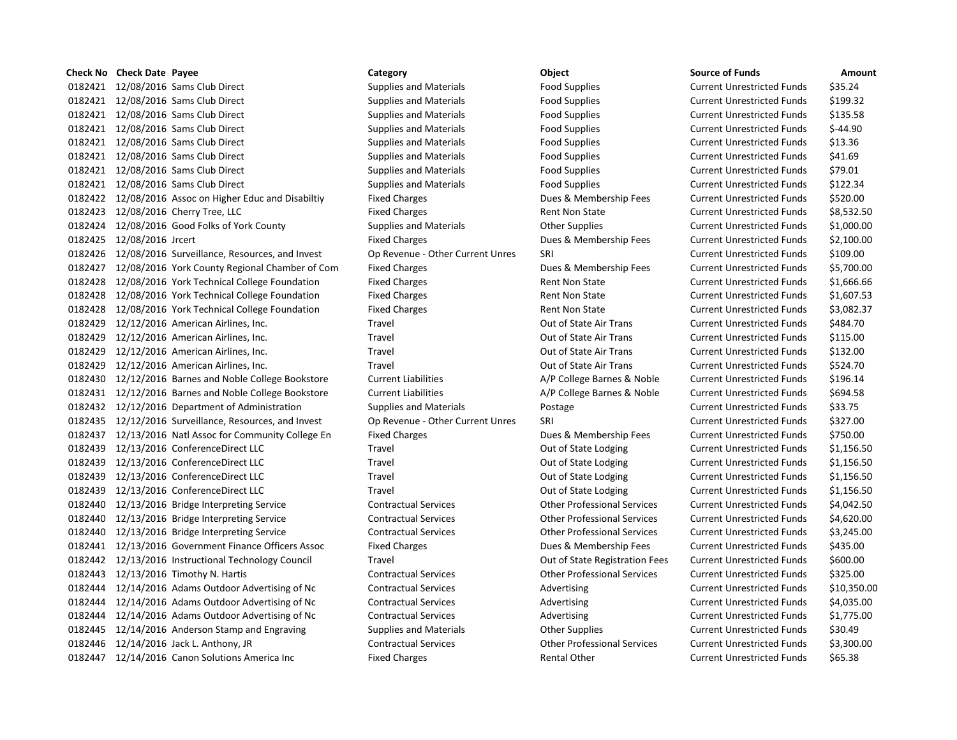# **Check No Check Date Payee Category Category Category Category Object Constanting Source of Source of Source of Source of Source of Source of Source of Source of Source of Source of Source of Source of Sour** 0182421 12/08/2016 Sams Club Direct Supplies and Materials Food Supplies Food Supplies Current Current Current Current Current Current Current Current Current Current Current Current Current Current Current Current Current 0182421 12/08/2016 Sams Club Direct Supplies and Materials Food Supplies Food Supplies Current Current Current C 0182421 12/08/2016 Sams Club Direct Supplies and Materials Food Supplies Food Supplies Current Current Current Cu 0182421 12/08/2016 Sams Club Direct Supplies and Materials Food Supplies Food Supplies Current Current Current Current Current Current Current Current Current Current Current Current Current Current Current Current Current 0182421 12/08/2016 Sams Club Direct Supplies and Materials Food Supplies Food Supplies Current Current Current Current Current Current Current Current Current Current Current Current Current Current Current Current Current 0182421 12/08/2016 Sams Club Direct Supplies and Materials Food Supplies Food Supplies Current Current Current Current Current Current Current Current Current Current Current Current Current Current Current Current Current 0182421 12/08/2016 Sams Club Direct Supplies and Materials Food Supplies Food Supplies Current Current Current Current Current Current Current Current Current Current Current Current Current Current Current Current Current 0182421 12/08/2016 Sams Club Direct Supplies and Materials Food Supplies Food Supplies Current Current Current C 0182422 12/08/2016 Assoc on Higher Educ and Disabiltiy Fixed Charges Dues & Membership Fees Current Unrestricted Funds \$520.00 0182423 12/08/2016 Cherry Tree, LLC Fixed Charges Fixed Charges Rent Non State Current Unrestricted Funds & Cu 0182424 12/08/2016 Good Folks of York County Supplies and Materials Other Supplies Current Current Current Current O 0182425 12/08/2016 Jrcert **Fixed Charges** Fixed Charges Dues & Membership Fees Current United Technical Action 0182426 12/08/2016 Surveillance, Resources, and Invest Op Revenue - Other Current Unres SRI 0182427 12/08/2016 York County Regional Chamber of Com Fixed Charges **Dues & Membership Fees** Current Unrestricted Funds \$5,700.000 0182428 12/08/2016 York Technical College Foundation Fixed Charges Rent Non State Current Current Current Current Cu 0182428 12/08/2016 York Technical College Foundation Fixed Charges Rent Non State Current Unrestricted Funds & 0182428 12/08/2016 York Technical College Foundation Fixed Charges Rent Non State Current Unrestricted Funds & 0182429 12/12/2016 American Airlines, Inc. Travel Compared Current Current Out of State Air Trans Current Current Current Current Out Out of State Air Trans Current Current Current Current Out Out Out of State Air Trans Cu 0182429 12/12/2016 American Airlines, Inc. Travel Compared Current Current Out of State Air Trans Current Current Current Current Out of State Air Trans Current Current Current Current Current Out of State Air Trans Curren 0182429 12/12/2016 American Airlines, Inc. Travel Current Current Current Out of State Air Trans Current Current Current Current Out Out of State Air Trans Current Current Current Current Out Out of State Air Trans Current 0182429 12/12/2016 American Airlines, Inc. Travel Compared Current Current Out of State Air Trans Current Current Current Current Out Out of State Air Trans Current Current Current Current Out Out Out of State Air Trans Cu 0182430 12/12/2016 Barnes and Noble College Bookstore Current Liabilities A/P College Barnes & Noble Current Cu 0182431 12/12/2016 Barnes and Noble College Bookstore Current Liabilities A/P College Barnes & Noble Current Liabilities 0182432 12/12/2016 Department of Administration Supplies and Materials Postage Postage Current One 0182435 12/12/2016 Surveillance, Resources, and Invest Op Revenue - Other Current Unres SRI 0182437 12/13/2016 Natl Assoc for Community College En Fixed Charges Dues & Membership Fees Current Current Cu 0182439 12/13/2016 ConferenceDirect LLC Travel Travel Current Out of State Lodging Current Unrestricted Funds & Current Current Out of State Lodging Current Current Current Current Current Out of State Lodging Current Curr 0182439 12/13/2016 ConferenceDirect LLC Travel Travel Current Current Out of State Lodging Current Current Cu 0182439 12/13/2016 ConferenceDirect LLC Travel Travel Current Current Out of State Lodging Current Cu 0182439 12/13/2016 ConferenceDirect LLC Travel Travel Current Current Out of State Lodging Current Cu 0182440 12/13/2016 Bridge Interpreting Service Contractual Services Contractual Services Current Unrestricted Funds \$4,000 Current Current Unrestricted Funds \$4,000 Current Professional Services Current Unrestricted Funds 0182440 12/13/2016 Bridge Interpreting Service Contractual Services Other Professional Services Current Unrestricted Funds \$4,620.00 0182440 12/13/2016 Bridge Interpreting Service Contractual Services Contractual Services Current Unrestrictes Cu 0182441 12/13/2016 Government Finance Officers Assoc Fixed Charges Current Pues & Membership Fees Cu 0182442 12/13/2016 Instructional Technology Council Travel Travel Current Current Out of State Registration Fees Cu 0182443 12/13/2016 Timothy N. Hartis Contractual Services Contractual Services Current Unrestricted Funds & Cu 0182444 12/14/2016 Adams Outdoor Advertising of Nc Contractual Services Advertising Advertising Current Current Cu 0182444 12/14/2016 Adams Outdoor Advertising of Nc Contractual Services Advertising Advertising Current Current Cu 0182444 12/14/2016 Adams Outdoor Advertising of Nc Contractual Services and Advertising Current Current Current Cu 0182445 12/14/2016 Anderson Stamp and Engraving Supplies and Materials Other Supplies Current Current Current Cu 0182446 12/14/2016 Jack L. Anthony, JR Contractual Services Other Professional Services Current Unrestricted Funds \$3,300.00 0182447 12/14/2016 Canon Solutions America Inc Fixed Charges Fixed Charges Rental Other Current Unrestricted Funds \$65.38

| ource of Funds             | Amount      |
|----------------------------|-------------|
| Current Unrestricted Funds | \$35.24     |
| urrent Unrestricted Funds: | \$199.32    |
| Current Unrestricted Funds | \$135.58    |
| Current Unrestricted Funds | \$-44.90    |
| Current Unrestricted Funds | \$13.36     |
| Current Unrestricted Funds | \$41.69     |
| Current Unrestricted Funds | \$79.01     |
| Current Unrestricted Funds | \$122.34    |
| Current Unrestricted Funds | \$520.00    |
| Current Unrestricted Funds | \$8,532.50  |
| Current Unrestricted Funds | \$1,000.00  |
| Current Unrestricted Funds | \$2,100.00  |
| Current Unrestricted Funds | \$109.00    |
| Current Unrestricted Funds | \$5,700.00  |
| Current Unrestricted Funds | \$1,666.66  |
| Current Unrestricted Funds | \$1,607.53  |
| Current Unrestricted Funds | \$3,082.37  |
| Current Unrestricted Funds | \$484.70    |
| Current Unrestricted Funds | \$115.00    |
| Current Unrestricted Funds | \$132.00    |
| Current Unrestricted Funds | \$524.70    |
| Current Unrestricted Funds | \$196.14    |
| urrent Unrestricted Funds: | \$694.58    |
| Current Unrestricted Funds | \$33.75     |
| Current Unrestricted Funds | \$327.00    |
| Current Unrestricted Funds | \$750.00    |
| Current Unrestricted Funds | \$1,156.50  |
| Current Unrestricted Funds | \$1,156.50  |
| Current Unrestricted Funds | \$1,156.50  |
| Current Unrestricted Funds | \$1,156.50  |
| Current Unrestricted Funds | \$4,042.50  |
| Current Unrestricted Funds | \$4,620.00  |
| Current Unrestricted Funds | \$3,245.00  |
| Current Unrestricted Funds | \$435.00    |
| Current Unrestricted Funds | \$600.00    |
| Current Unrestricted Funds | \$325.00    |
| Current Unrestricted Funds | \$10,350.00 |
| Current Unrestricted Funds | \$4,035.00  |
| Current Unrestricted Funds | \$1,775.00  |
| Current Unrestricted Funds | \$30.49     |
| Current Unrestricted Funds | \$3,300.00  |
| Current Unrestricted Funds | \$65.38     |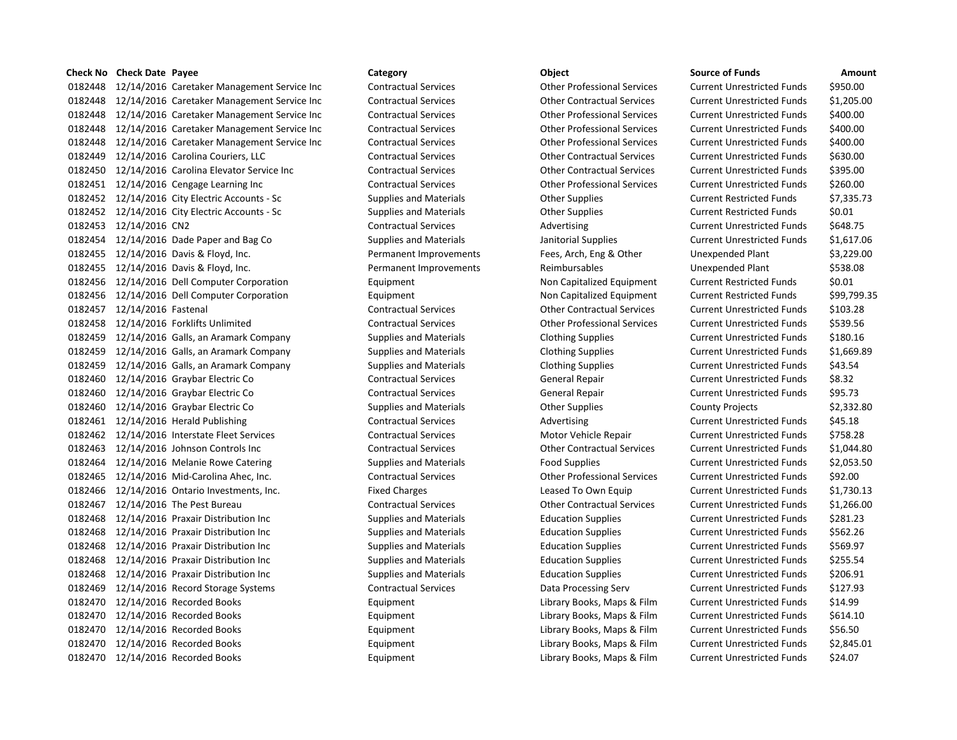### **Check No Check Date Payee Category Category Category Category Check No Check Date Source of Funds Amount**

0182448 12/14/2016 Caretaker Management Service Inc Contractual Services Other Professional Services Current Unrestricted Funds \$950.00 0182448 12/14/2016 Caretaker Management Service Inc Contractual Services Other Contractual Services Current Unrestricted Funds \$1,205.00 0182448 12/14/2016 Caretaker Management Service Inc Contractual Services Other Professional Services Current Unrestricted Funds \$400.00 0182448 12/14/2016 Caretaker Management Service Inc Contractual Services Other Professional Services Current Unrestricted Funds \$400.00 0182448 12/14/2016 Caretaker Management Service Inc Contractual Services Other Professional Services Current Unrestricted Funds \$400.00 0182449 12/14/2016 Carolina Couriers, LLC Contractual Services Other Contractual Services Current Unrestricted Funds \$630.00 0182450 12/14/2016 Carolina Elevator Service Inc Contractual Services Other Contractual Services Current Unrestricted Funds \$395.00 0182451 12/14/2016 Cengage Learning Inc Contractual Services Other Professional Services Current Unrestricted Funds \$260.00 0182452 12/14/2016 City Electric Accounts - Sc Supplies and Materials Other Supplies Current Restricted Funds \$7,335.73 0182452 12/14/2016 City Electric Accounts - Sc Supplies and Materials Other Supplies Current Restricted Funds \$0.01 0182453 12/14/2016 CN2 Contractual Services Advertising Current Unrestricted Funds \$648.75 0182454 12/14/2016 Dade Paper and Bag Co Supplies and Materials Janitorial Supplies Current Unrestricted Funds \$1,617.06 0182455 12/14/2016 Davis & Floyd, Inc. Permanent Improvements Fees, Arch, Eng & Other Unexpended Plant \$3,229.00 0182455 12/14/2016 Davis & Floyd, Inc. The Subset of Permanent Improvements Reimbursables Unexpended Plant \$538.08 0182456 12/14/2016 Dell Computer Corporation **Equipment** Equipment Non Capitalized Equipment Current Restricted Funds \$0.01 0182456 12/14/2016 Dell Computer Corporation **Equipment** Equipment Non Capitalized Equipment Current Restricted Funds \$99,799.35 0182457 12/14/2016 Fastenal Contractual Services Other Contractual Services Current Unrestricted Funds \$103.28 0182458 12/14/2016 Forklifts Unlimited Contractual Services Other Professional Services Current Unrestricted Funds \$539.56 0182459 12/14/2016 Galls, an Aramark Company Supplies and Materials Clothing Supplies Current Unrestricted Funds \$180.16 0182459 12/14/2016 Galls, an Aramark Company Supplies and Materials Clothing Supplies Current Unrestricted Funds \$1,669.89 0182459 12/14/2016 Galls, an Aramark Company Supplies and Materials Clothing Supplies Current Unrestricted Funds \$43.54 0182460 12/14/2016 Graybar Electric Co Contractual Services General Repair Current Unrestricted Funds 58.32 0182460 12/14/2016 Graybar Electric Co Contractual Services General Repair Current Unrestricted Funds \$95.73 0182460 12/14/2016 Graybar Electric Co Supplies and Materials County Projects County Projects \$2,332.80 0182461 12/14/2016 Herald Publishing Contractual Services Advertising Current Unrestricted Funds \$45.18 0182462 12/14/2016 Interstate Fleet Services Contractual Services Motor Vehicle Repair Current Unrestricted Funds \$758.28 0182463 12/14/2016 Johnson Controls Inc Contractual Services Other Contractual Services Current Unrestricted Funds \$1,044.80 0182464 12/14/2016 Melanie Rowe Catering Supplies and Materials Food Supplies Current Unrestricted Funds \$2,053.50 0182465 12/14/2016 Mid-Carolina Ahec, Inc. Contractual Services Other Professional Services Current Unrestricted Funds \$92.00 0182466 12/14/2016 Ontario Investments, Inc. Fixed Charges Leased To Own Equip Current Unrestricted Funds \$1,730.13 0182467 12/14/2016 The Pest Bureau Contractual Services Other Contractual Services Current Unrestricted Funds \$1,266.00 0182468 12/14/2016 Praxair Distribution Inc Supplies and Materials Education Supplies Current Unrestricted Funds \$281.23 0182468 12/14/2016 Praxair Distribution Inc Supplies and Materials Education Supplies Current Unrestricted Funds \$562.26 0182468 12/14/2016 Praxair Distribution Inc Supplies and Materials Education Supplies Current Unrestricted Funds \$569.97 0182468 12/14/2016 Praxair Distribution Inc Supplies and Materials Education Supplies Current Unrestricted Funds \$255.54 0182468 12/14/2016 Praxair Distribution Inc Supplies and Materials Education Supplies Current Unrestricted Funds \$206.91 0182469 12/14/2016 Record Storage Systems Contractual Services Data Processing Serv Current Unrestricted Funds \$127.93 0182470 12/14/2016 Recorded Books Equipment Library Books, Maps & Film Current Unrestricted Funds \$14.99 0182470 12/14/2016 Recorded Books **Equipment** Equipment Library Books, Maps & Film Current Unrestricted Funds \$614.10 0182470 12/14/2016 Recorded Books **Equipment** Equipment Library Books, Maps & Film Current Unrestricted Funds \$56.50 0182470 12/14/2016 Recorded Books **Equipment** Equipment Library Books, Maps & Film Current Unrestricted Funds \$2,845.01 0182470 12/14/2016 Recorded Books Equipment Library Books, Maps & Film Current Unrestricted Funds \$24.07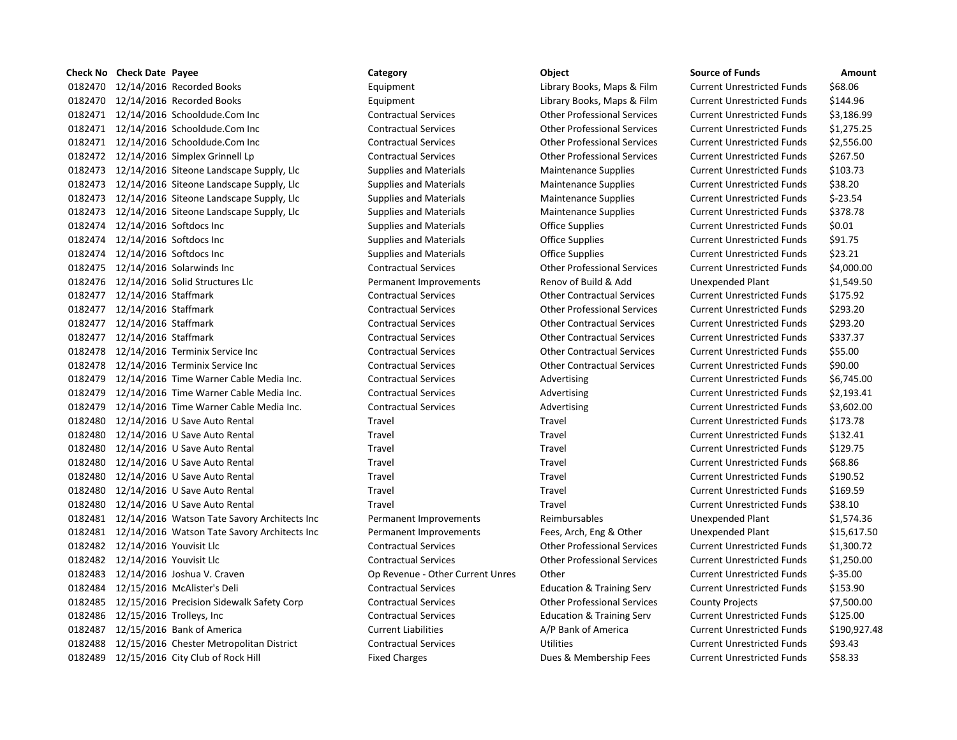|         | <b>Check No</b> Check Date Payee                     | Category                         | Object                               | <b>Source of Funds</b>            | Amount      |
|---------|------------------------------------------------------|----------------------------------|--------------------------------------|-----------------------------------|-------------|
| 0182470 | 12/14/2016 Recorded Books                            | Equipment                        | Library Books, Maps & Film           | <b>Current Unrestricted Funds</b> | \$68.06     |
|         | 0182470 12/14/2016 Recorded Books                    | Equipment                        | Library Books, Maps & Film           | <b>Current Unrestricted Funds</b> | \$144.96    |
|         | 0182471 12/14/2016 Schooldude.Com Inc                | <b>Contractual Services</b>      | <b>Other Professional Services</b>   | <b>Current Unrestricted Funds</b> | \$3,186.99  |
|         | 0182471 12/14/2016 Schooldude.Com Inc                | <b>Contractual Services</b>      | <b>Other Professional Services</b>   | <b>Current Unrestricted Funds</b> | \$1,275.25  |
|         | 0182471 12/14/2016 Schooldude.Com Inc                | <b>Contractual Services</b>      | <b>Other Professional Services</b>   | <b>Current Unrestricted Funds</b> | \$2,556.00  |
|         | 0182472 12/14/2016 Simplex Grinnell Lp               | <b>Contractual Services</b>      | <b>Other Professional Services</b>   | <b>Current Unrestricted Funds</b> | \$267.50    |
|         | 0182473 12/14/2016 Siteone Landscape Supply, Llc     | <b>Supplies and Materials</b>    | <b>Maintenance Supplies</b>          | <b>Current Unrestricted Funds</b> | \$103.73    |
|         | 0182473 12/14/2016 Siteone Landscape Supply, Llc     | <b>Supplies and Materials</b>    | <b>Maintenance Supplies</b>          | <b>Current Unrestricted Funds</b> | \$38.20     |
|         | 0182473 12/14/2016 Siteone Landscape Supply, Llc     | <b>Supplies and Materials</b>    | <b>Maintenance Supplies</b>          | <b>Current Unrestricted Funds</b> | $$-23.54$   |
|         | 0182473 12/14/2016 Siteone Landscape Supply, Llc     | <b>Supplies and Materials</b>    | <b>Maintenance Supplies</b>          | <b>Current Unrestricted Funds</b> | \$378.78    |
|         | 0182474 12/14/2016 Softdocs Inc                      | <b>Supplies and Materials</b>    | <b>Office Supplies</b>               | <b>Current Unrestricted Funds</b> | \$0.01      |
|         | 0182474 12/14/2016 Softdocs Inc                      | <b>Supplies and Materials</b>    | <b>Office Supplies</b>               | <b>Current Unrestricted Funds</b> | \$91.75     |
|         | 0182474 12/14/2016 Softdocs Inc                      | <b>Supplies and Materials</b>    | <b>Office Supplies</b>               | <b>Current Unrestricted Funds</b> | \$23.21     |
|         | 0182475 12/14/2016 Solarwinds Inc                    | <b>Contractual Services</b>      | <b>Other Professional Services</b>   | <b>Current Unrestricted Funds</b> | \$4,000.00  |
|         | 0182476 12/14/2016 Solid Structures Llc              | Permanent Improvements           | Renov of Build & Add                 | Unexpended Plant                  | \$1,549.50  |
|         | 0182477 12/14/2016 Staffmark                         | <b>Contractual Services</b>      | <b>Other Contractual Services</b>    | <b>Current Unrestricted Funds</b> | \$175.92    |
|         | 0182477 12/14/2016 Staffmark                         | <b>Contractual Services</b>      | <b>Other Professional Services</b>   | <b>Current Unrestricted Funds</b> | \$293.20    |
|         | 0182477 12/14/2016 Staffmark                         | <b>Contractual Services</b>      | <b>Other Contractual Services</b>    | <b>Current Unrestricted Funds</b> | \$293.20    |
|         | 0182477 12/14/2016 Staffmark                         | <b>Contractual Services</b>      | <b>Other Contractual Services</b>    | <b>Current Unrestricted Funds</b> | \$337.37    |
|         | 0182478 12/14/2016 Terminix Service Inc              | <b>Contractual Services</b>      | <b>Other Contractual Services</b>    | <b>Current Unrestricted Funds</b> | \$55.00     |
|         | 0182478 12/14/2016 Terminix Service Inc              | <b>Contractual Services</b>      | <b>Other Contractual Services</b>    | <b>Current Unrestricted Funds</b> | \$90.00     |
|         | 0182479 12/14/2016 Time Warner Cable Media Inc.      | <b>Contractual Services</b>      | Advertising                          | <b>Current Unrestricted Funds</b> | \$6,745.00  |
|         | 0182479 12/14/2016 Time Warner Cable Media Inc.      | <b>Contractual Services</b>      | Advertising                          | <b>Current Unrestricted Funds</b> | \$2,193.41  |
|         | 0182479 12/14/2016 Time Warner Cable Media Inc.      | <b>Contractual Services</b>      | Advertising                          | <b>Current Unrestricted Funds</b> | \$3,602.00  |
|         | 0182480 12/14/2016 U Save Auto Rental                | Travel                           | Travel                               | <b>Current Unrestricted Funds</b> | \$173.78    |
|         | 0182480 12/14/2016 U Save Auto Rental                | Travel                           | Travel                               | <b>Current Unrestricted Funds</b> | \$132.41    |
|         | 0182480 12/14/2016 U Save Auto Rental                | Travel                           | Travel                               | <b>Current Unrestricted Funds</b> | \$129.75    |
|         | 0182480 12/14/2016 U Save Auto Rental                | Travel                           | Travel                               | <b>Current Unrestricted Funds</b> | \$68.86     |
|         | 0182480 12/14/2016 U Save Auto Rental                | Travel                           | Travel                               | <b>Current Unrestricted Funds</b> | \$190.52    |
|         | 0182480 12/14/2016 U Save Auto Rental                | Travel                           | Travel                               | <b>Current Unrestricted Funds</b> | \$169.59    |
|         | 0182480 12/14/2016 U Save Auto Rental                | Travel                           | Travel                               | <b>Current Unrestricted Funds</b> | \$38.10     |
|         | 0182481 12/14/2016 Watson Tate Savory Architects Inc | Permanent Improvements           | Reimbursables                        | Unexpended Plant                  | \$1,574.36  |
|         | 0182481 12/14/2016 Watson Tate Savory Architects Inc | Permanent Improvements           | Fees, Arch, Eng & Other              | Unexpended Plant                  | \$15,617.50 |
|         | 0182482 12/14/2016 Youvisit Llc                      | <b>Contractual Services</b>      | <b>Other Professional Services</b>   | <b>Current Unrestricted Funds</b> | \$1,300.72  |
|         | 0182482 12/14/2016 Youvisit Llc                      | <b>Contractual Services</b>      | <b>Other Professional Services</b>   | <b>Current Unrestricted Funds</b> | \$1,250.00  |
|         | 0182483 12/14/2016 Joshua V. Craven                  | Op Revenue - Other Current Unres | Other                                | <b>Current Unrestricted Funds</b> | $$-35.00$   |
|         | 0182484 12/15/2016 McAlister's Deli                  | <b>Contractual Services</b>      | <b>Education &amp; Training Serv</b> | <b>Current Unrestricted Funds</b> | \$153.90    |
|         | 0182485 12/15/2016 Precision Sidewalk Safety Corp    | <b>Contractual Services</b>      | <b>Other Professional Services</b>   | <b>County Projects</b>            | \$7,500.00  |
|         | 0182486 12/15/2016 Trolleys, Inc                     | <b>Contractual Services</b>      | <b>Education &amp; Training Serv</b> | <b>Current Unrestricted Funds</b> | \$125.00    |
|         | 0182487 12/15/2016 Bank of America                   | <b>Current Liabilities</b>       | A/P Bank of America                  | <b>Current Unrestricted Funds</b> | \$190,927.4 |
|         | 0182488 12/15/2016 Chester Metropolitan District     | <b>Contractual Services</b>      | Utilities                            | <b>Current Unrestricted Funds</b> | \$93.43     |
|         | 0182489 12/15/2016 City Club of Rock Hill            | <b>Fixed Charges</b>             | Dues & Membership Fees               | <b>Current Unrestricted Funds</b> | \$58.33     |
|         |                                                      |                                  |                                      |                                   |             |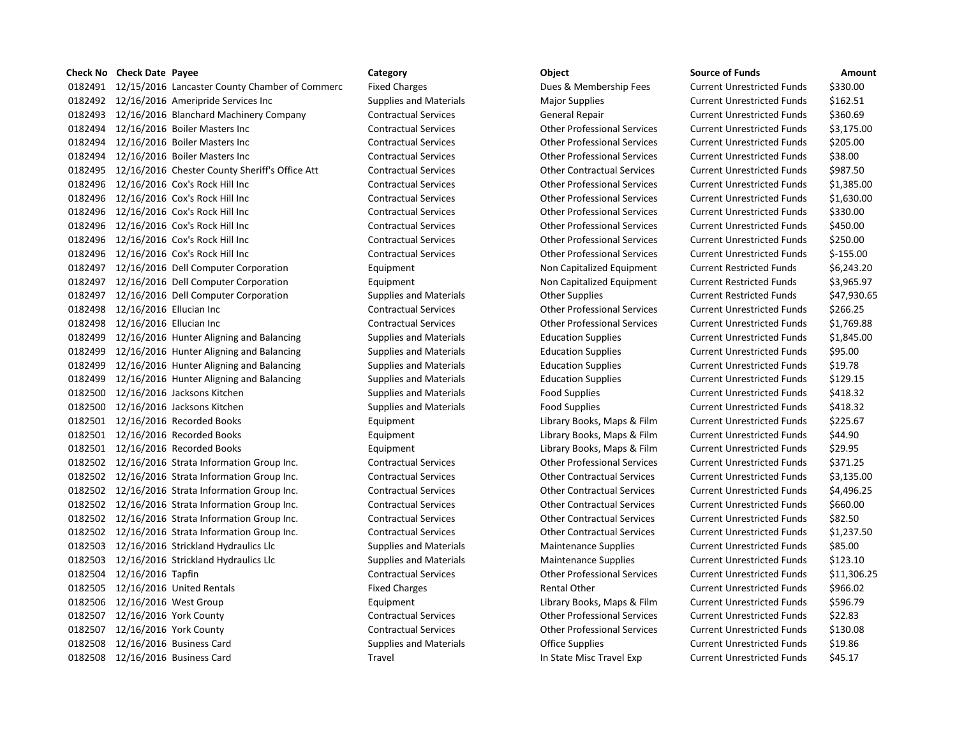## **Check No Check Date Payee Category Category Category Category Check No Check Date Source of Funds Amount**

 12/15/2016 Lancaster County Chamber of Commerc Fixed Charges Dues & Membership Fees Current Unrestricted Funds \$330.00 0182492 12/16/2016 Ameripride Services Inc Supplies and Materials Major Supplies Current Unrestricted Funds \$162.51 0182493 12/16/2016 Blanchard Machinery Company Contractual Services General Repair Current Unrestricted Funds \$360.69 12/16/2016 Boiler Masters Inc Contractual Services Other Professional Services Current Unrestricted Funds \$3,175.00 12/16/2016 Boiler Masters Inc Contractual Services Other Professional Services Current Unrestricted Funds \$205.00 12/16/2016 Boiler Masters Inc Contractual Services Other Professional Services Current Unrestricted Funds \$38.00 12/16/2016 Chester County Sheriff's Office Att Contractual Services Other Contractual Services Current Unrestricted Funds \$987.50 12/16/2016 Cox's Rock Hill Inc Contractual Services Other Professional Services Current Unrestricted Funds \$1,385.00 12/16/2016 Cox's Rock Hill Inc Contractual Services Other Professional Services Current Unrestricted Funds \$1,630.00 12/16/2016 Cox's Rock Hill Inc Contractual Services Other Professional Services Current Unrestricted Funds \$330.00 12/16/2016 Cox's Rock Hill Inc Contractual Services Other Professional Services Current Unrestricted Funds \$450.00 12/16/2016 Cox's Rock Hill Inc Contractual Services Other Professional Services Current Unrestricted Funds \$250.00 12/16/2016 Cox's Rock Hill Inc Contractual Services Other Professional Services Current Unrestricted Funds \$-155.00 12/16/2016 Dell Computer Corporation Equipment Non Capitalized Equipment Current Restricted Funds \$6,243.20 12/16/2016 Dell Computer Corporation Equipment Non Capitalized Equipment Current Restricted Funds \$3,965.97 0182497 12/16/2016 Dell Computer Corporation Supplies and Materials Current Restricted Funds \$47,930.65 12/16/2016 Ellucian Inc Contractual Services Other Professional Services Current Unrestricted Funds \$266.25 12/16/2016 Ellucian Inc Contractual Services Other Professional Services Current Unrestricted Funds \$1,769.88 12/16/2016 Hunter Aligning and Balancing Supplies and Materials Education Supplies Current Unrestricted Funds \$1,845.00 0182499 12/16/2016 Hunter Aligning and Balancing Supplies and Materials Education Supplies Current Unrestricted Funds \$95.00 0182499 12/16/2016 Hunter Aligning and Balancing Supplies and Materials Education Supplies Current Unrestricted Funds \$19.78 0182499 12/16/2016 Hunter Aligning and Balancing Supplies and Materials Education Supplies Current Unrestricted Funds \$129.15 0182500 12/16/2016 Jacksons Kitchen Supplies and Materials Food Supplies Food Supplies Current Unrestricted Funds \$418.32 0182500 12/16/2016 Jacksons Kitchen Supplies and Materials Food Supplies Food Supplies Current Unrestricted Funds \$418.32 0182501 12/16/2016 Recorded Books **Equipment** Equipment Library Books, Maps & Film Current Unrestricted Funds \$225.67 0182501 12/16/2016 Recorded Books **Equipment** Equipment Library Books, Maps & Film Current Unrestricted Funds \$44.90 12/16/2016 Recorded Books Equipment Library Books, Maps & Film Current Unrestricted Funds \$29.95 12/16/2016 Strata Information Group Inc. Contractual Services Other Professional Services Current Unrestricted Funds \$371.25 12/16/2016 Strata Information Group Inc. Contractual Services Other Contractual Services Current Unrestricted Funds \$3,135.00 12/16/2016 Strata Information Group Inc. Contractual Services Other Contractual Services Current Unrestricted Funds \$4,496.25 12/16/2016 Strata Information Group Inc. Contractual Services Other Contractual Services Current Unrestricted Funds \$660.00 12/16/2016 Strata Information Group Inc. Contractual Services Other Contractual Services Current Unrestricted Funds \$82.50 12/16/2016 Strata Information Group Inc. Contractual Services Other Contractual Services Current Unrestricted Funds \$1,237.50 0182503 12/16/2016 Strickland Hydraulics Llc Supplies and Materials Maintenance Supplies Current Unrestricted Funds \$85.00 12/16/2016 Strickland Hydraulics Llc Supplies and Materials Maintenance Supplies Current Unrestricted Funds \$123.10 12/16/2016 Tapfin Contractual Services Other Professional Services Current Unrestricted Funds \$11,306.25 0182505 12/16/2016 United Rentals The Rental Structure of Fixed Charges The Rental Other Current Unrestricted Funds \$966.02 0182506 12/16/2016 West Group **Equipment** Equipment Library Books, Maps & Film Current Unrestricted Funds \$596.79 12/16/2016 York County Contractual Services Other Professional Services Current Unrestricted Funds \$22.83 12/16/2016 York County Contractual Services Other Professional Services Current Unrestricted Funds \$130.08 12/16/2016 Business Card Supplies and Materials Office Supplies Current Unrestricted Funds \$19.86 12/16/2016 Business Card Travel In State Misc Travel Exp Current Unrestricted Funds \$45.17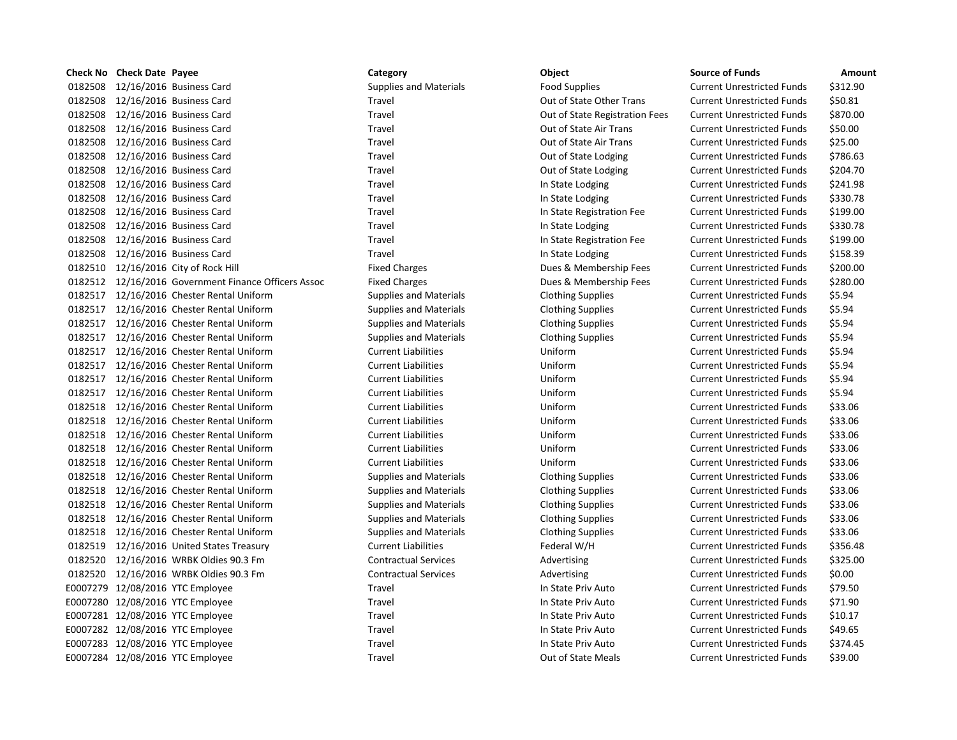|         | Check No Check Date Payee |                                                      | Category                      | Object                         | <b>Source of Funds</b>            | Amount   |
|---------|---------------------------|------------------------------------------------------|-------------------------------|--------------------------------|-----------------------------------|----------|
| 0182508 |                           | 12/16/2016 Business Card                             | <b>Supplies and Materials</b> | <b>Food Supplies</b>           | <b>Current Unrestricted Funds</b> | \$312.90 |
| 0182508 |                           | 12/16/2016 Business Card                             | Travel                        | Out of State Other Trans       | <b>Current Unrestricted Funds</b> | \$50.81  |
| 0182508 |                           | 12/16/2016 Business Card                             | Travel                        | Out of State Registration Fees | <b>Current Unrestricted Funds</b> | \$870.00 |
| 0182508 |                           | 12/16/2016 Business Card                             | Travel                        | Out of State Air Trans         | <b>Current Unrestricted Funds</b> | \$50.00  |
| 0182508 |                           | 12/16/2016 Business Card                             | Travel                        | Out of State Air Trans         | <b>Current Unrestricted Funds</b> | \$25.00  |
| 0182508 |                           | 12/16/2016 Business Card                             | Travel                        | Out of State Lodging           | <b>Current Unrestricted Funds</b> | \$786.63 |
| 0182508 |                           | 12/16/2016 Business Card                             | <b>Travel</b>                 | Out of State Lodging           | <b>Current Unrestricted Funds</b> | \$204.70 |
|         |                           | 0182508 12/16/2016 Business Card                     | Travel                        | In State Lodging               | <b>Current Unrestricted Funds</b> | \$241.98 |
| 0182508 |                           | 12/16/2016 Business Card                             | Travel                        | In State Lodging               | <b>Current Unrestricted Funds</b> | \$330.78 |
|         |                           | 0182508 12/16/2016 Business Card                     | Travel                        | In State Registration Fee      | <b>Current Unrestricted Funds</b> | \$199.00 |
| 0182508 |                           | 12/16/2016 Business Card                             | Travel                        | In State Lodging               | <b>Current Unrestricted Funds</b> | \$330.78 |
|         |                           | 0182508 12/16/2016 Business Card                     | Travel                        | In State Registration Fee      | <b>Current Unrestricted Funds</b> | \$199.00 |
| 0182508 |                           | 12/16/2016 Business Card                             | Travel                        | In State Lodging               | <b>Current Unrestricted Funds</b> | \$158.39 |
|         |                           | 0182510 12/16/2016 City of Rock Hill                 | <b>Fixed Charges</b>          | Dues & Membership Fees         | <b>Current Unrestricted Funds</b> | \$200.00 |
|         |                           | 0182512 12/16/2016 Government Finance Officers Assoc | <b>Fixed Charges</b>          | Dues & Membership Fees         | <b>Current Unrestricted Funds</b> | \$280.00 |
|         |                           | 0182517 12/16/2016 Chester Rental Uniform            | <b>Supplies and Materials</b> | <b>Clothing Supplies</b>       | <b>Current Unrestricted Funds</b> | \$5.94   |
|         |                           | 0182517 12/16/2016 Chester Rental Uniform            | <b>Supplies and Materials</b> | <b>Clothing Supplies</b>       | <b>Current Unrestricted Funds</b> | \$5.94   |
|         |                           | 0182517 12/16/2016 Chester Rental Uniform            | <b>Supplies and Materials</b> | <b>Clothing Supplies</b>       | <b>Current Unrestricted Funds</b> | \$5.94   |
|         |                           | 0182517 12/16/2016 Chester Rental Uniform            | <b>Supplies and Materials</b> | <b>Clothing Supplies</b>       | <b>Current Unrestricted Funds</b> | \$5.94   |
|         |                           | 0182517 12/16/2016 Chester Rental Uniform            | <b>Current Liabilities</b>    | Uniform                        | <b>Current Unrestricted Funds</b> | \$5.94   |
| 0182517 |                           | 12/16/2016 Chester Rental Uniform                    | <b>Current Liabilities</b>    | Uniform                        | <b>Current Unrestricted Funds</b> | \$5.94   |
|         |                           | 0182517 12/16/2016 Chester Rental Uniform            | <b>Current Liabilities</b>    | Uniform                        | <b>Current Unrestricted Funds</b> | \$5.94   |
|         |                           | 0182517 12/16/2016 Chester Rental Uniform            | <b>Current Liabilities</b>    | Uniform                        | <b>Current Unrestricted Funds</b> | \$5.94   |
|         |                           | 0182518 12/16/2016 Chester Rental Uniform            | <b>Current Liabilities</b>    | Uniform                        | <b>Current Unrestricted Funds</b> | \$33.06  |
|         |                           | 0182518 12/16/2016 Chester Rental Uniform            | <b>Current Liabilities</b>    | Uniform                        | <b>Current Unrestricted Funds</b> | \$33.06  |
|         |                           | 0182518 12/16/2016 Chester Rental Uniform            | <b>Current Liabilities</b>    | Uniform                        | <b>Current Unrestricted Funds</b> | \$33.06  |
|         |                           | 0182518 12/16/2016 Chester Rental Uniform            | <b>Current Liabilities</b>    | Uniform                        | <b>Current Unrestricted Funds</b> | \$33.06  |
|         |                           | 0182518 12/16/2016 Chester Rental Uniform            | <b>Current Liabilities</b>    | Uniform                        | <b>Current Unrestricted Funds</b> | \$33.06  |
|         |                           | 0182518 12/16/2016 Chester Rental Uniform            | <b>Supplies and Materials</b> | <b>Clothing Supplies</b>       | <b>Current Unrestricted Funds</b> | \$33.06  |
|         |                           | 0182518 12/16/2016 Chester Rental Uniform            | <b>Supplies and Materials</b> | <b>Clothing Supplies</b>       | <b>Current Unrestricted Funds</b> | \$33.06  |
|         |                           | 0182518 12/16/2016 Chester Rental Uniform            | <b>Supplies and Materials</b> | <b>Clothing Supplies</b>       | <b>Current Unrestricted Funds</b> | \$33.06  |
|         |                           | 0182518 12/16/2016 Chester Rental Uniform            | <b>Supplies and Materials</b> | <b>Clothing Supplies</b>       | <b>Current Unrestricted Funds</b> | \$33.06  |
|         |                           | 0182518 12/16/2016 Chester Rental Uniform            | <b>Supplies and Materials</b> | <b>Clothing Supplies</b>       | <b>Current Unrestricted Funds</b> | \$33.06  |
|         |                           | 0182519 12/16/2016 United States Treasury            | <b>Current Liabilities</b>    | Federal W/H                    | <b>Current Unrestricted Funds</b> | \$356.48 |
|         |                           | 0182520 12/16/2016 WRBK Oldies 90.3 Fm               | <b>Contractual Services</b>   | Advertising                    | <b>Current Unrestricted Funds</b> | \$325.00 |
|         |                           | 0182520 12/16/2016 WRBK Oldies 90.3 Fm               | <b>Contractual Services</b>   | Advertising                    | <b>Current Unrestricted Funds</b> | \$0.00   |
|         |                           | E0007279 12/08/2016 YTC Employee                     | Travel                        | In State Priv Auto             | <b>Current Unrestricted Funds</b> | \$79.50  |
|         |                           | E0007280 12/08/2016 YTC Employee                     | Travel                        | In State Priv Auto             | <b>Current Unrestricted Funds</b> | \$71.90  |
|         |                           | E0007281 12/08/2016 YTC Employee                     | Travel                        | In State Priv Auto             | <b>Current Unrestricted Funds</b> | \$10.17  |
|         |                           | E0007282 12/08/2016 YTC Employee                     | Travel                        | In State Priv Auto             | <b>Current Unrestricted Funds</b> | \$49.65  |
|         |                           | E0007283 12/08/2016 YTC Employee                     | Travel                        | In State Priv Auto             | <b>Current Unrestricted Funds</b> | \$374.45 |
|         |                           | E0007284 12/08/2016 YTC Employee                     | Travel                        | Out of State Meals             | <b>Current Unrestricted Funds</b> | \$39.00  |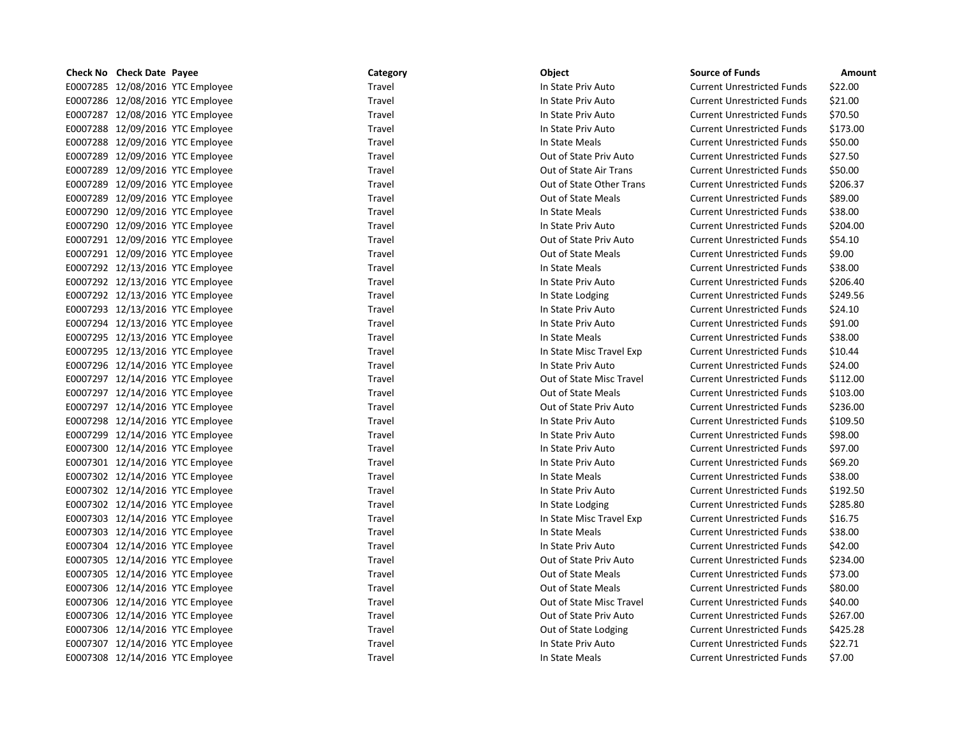| Check No Check Date Payee        | Category | Object                    | <b>Source of Funds</b>            | Amount   |
|----------------------------------|----------|---------------------------|-----------------------------------|----------|
| E0007285 12/08/2016 YTC Employee | Travel   | In State Priv Auto        | <b>Current Unrestricted Funds</b> | \$22.00  |
| E0007286 12/08/2016 YTC Employee | Travel   | In State Priv Auto        | <b>Current Unrestricted Funds</b> | \$21.00  |
| E0007287 12/08/2016 YTC Employee | Travel   | In State Priv Auto        | <b>Current Unrestricted Funds</b> | \$70.50  |
| E0007288 12/09/2016 YTC Employee | Travel   | In State Priv Auto        | <b>Current Unrestricted Funds</b> | \$173.00 |
| E0007288 12/09/2016 YTC Employee | Travel   | In State Meals            | <b>Current Unrestricted Funds</b> | \$50.00  |
| E0007289 12/09/2016 YTC Employee | Travel   | Out of State Priv Auto    | <b>Current Unrestricted Funds</b> | \$27.50  |
| E0007289 12/09/2016 YTC Employee | Travel   | Out of State Air Trans    | <b>Current Unrestricted Funds</b> | \$50.00  |
| E0007289 12/09/2016 YTC Employee | Travel   | Out of State Other Trans  | <b>Current Unrestricted Funds</b> | \$206.37 |
| E0007289 12/09/2016 YTC Employee | Travel   | <b>Out of State Meals</b> | <b>Current Unrestricted Funds</b> | \$89.00  |
| E0007290 12/09/2016 YTC Employee | Travel   | In State Meals            | <b>Current Unrestricted Funds</b> | \$38.00  |
| E0007290 12/09/2016 YTC Employee | Travel   | In State Priv Auto        | <b>Current Unrestricted Funds</b> | \$204.00 |
| E0007291 12/09/2016 YTC Employee | Travel   | Out of State Priv Auto    | <b>Current Unrestricted Funds</b> | \$54.10  |
| E0007291 12/09/2016 YTC Employee | Travel   | Out of State Meals        | <b>Current Unrestricted Funds</b> | \$9.00   |
| E0007292 12/13/2016 YTC Employee | Travel   | In State Meals            | <b>Current Unrestricted Funds</b> | \$38.00  |
| E0007292 12/13/2016 YTC Employee | Travel   | In State Priv Auto        | <b>Current Unrestricted Funds</b> | \$206.40 |
| E0007292 12/13/2016 YTC Employee | Travel   | In State Lodging          | <b>Current Unrestricted Funds</b> | \$249.56 |
| E0007293 12/13/2016 YTC Employee | Travel   | In State Priv Auto        | <b>Current Unrestricted Funds</b> | \$24.10  |
| E0007294 12/13/2016 YTC Employee | Travel   | In State Priv Auto        | <b>Current Unrestricted Funds</b> | \$91.00  |
| E0007295 12/13/2016 YTC Employee | Travel   | In State Meals            | <b>Current Unrestricted Funds</b> | \$38.00  |
| E0007295 12/13/2016 YTC Employee | Travel   | In State Misc Travel Exp  | <b>Current Unrestricted Funds</b> | \$10.44  |
| E0007296 12/14/2016 YTC Employee | Travel   | In State Priv Auto        | <b>Current Unrestricted Funds</b> | \$24.00  |
| E0007297 12/14/2016 YTC Employee | Travel   | Out of State Misc Travel  | <b>Current Unrestricted Funds</b> | \$112.00 |
| E0007297 12/14/2016 YTC Employee | Travel   | <b>Out of State Meals</b> | <b>Current Unrestricted Funds</b> | \$103.00 |
| E0007297 12/14/2016 YTC Employee | Travel   | Out of State Priv Auto    | <b>Current Unrestricted Funds</b> | \$236.00 |
| E0007298 12/14/2016 YTC Employee | Travel   | In State Priv Auto        | <b>Current Unrestricted Funds</b> | \$109.50 |
| E0007299 12/14/2016 YTC Employee | Travel   | In State Priv Auto        | <b>Current Unrestricted Funds</b> | \$98.00  |
| E0007300 12/14/2016 YTC Employee | Travel   | In State Priv Auto        | <b>Current Unrestricted Funds</b> | \$97.00  |
| E0007301 12/14/2016 YTC Employee | Travel   | In State Priv Auto        | <b>Current Unrestricted Funds</b> | \$69.20  |
| E0007302 12/14/2016 YTC Employee | Travel   | In State Meals            | <b>Current Unrestricted Funds</b> | \$38.00  |
| E0007302 12/14/2016 YTC Employee | Travel   | In State Priv Auto        | <b>Current Unrestricted Funds</b> | \$192.50 |
| E0007302 12/14/2016 YTC Employee | Travel   | In State Lodging          | <b>Current Unrestricted Funds</b> | \$285.80 |
| E0007303 12/14/2016 YTC Employee | Travel   | In State Misc Travel Exp  | <b>Current Unrestricted Funds</b> | \$16.75  |
| E0007303 12/14/2016 YTC Employee | Travel   | In State Meals            | <b>Current Unrestricted Funds</b> | \$38.00  |
| E0007304 12/14/2016 YTC Employee | Travel   | In State Priv Auto        | <b>Current Unrestricted Funds</b> | \$42.00  |
| E0007305 12/14/2016 YTC Employee | Travel   | Out of State Priv Auto    | <b>Current Unrestricted Funds</b> | \$234.00 |
| E0007305 12/14/2016 YTC Employee | Travel   | Out of State Meals        | <b>Current Unrestricted Funds</b> | \$73.00  |
| E0007306 12/14/2016 YTC Employee | Travel   | Out of State Meals        | <b>Current Unrestricted Funds</b> | \$80.00  |
| E0007306 12/14/2016 YTC Employee | Travel   | Out of State Misc Travel  | <b>Current Unrestricted Funds</b> | \$40.00  |
| E0007306 12/14/2016 YTC Employee | Travel   | Out of State Priv Auto    | <b>Current Unrestricted Funds</b> | \$267.00 |
| E0007306 12/14/2016 YTC Employee | Travel   | Out of State Lodging      | <b>Current Unrestricted Funds</b> | \$425.28 |
| E0007307 12/14/2016 YTC Employee | Travel   | In State Priv Auto        | <b>Current Unrestricted Funds</b> | \$22.71  |
| E0007308 12/14/2016 YTC Employee | Travel   | In State Meals            | <b>Current Unrestricted Funds</b> | \$7.00   |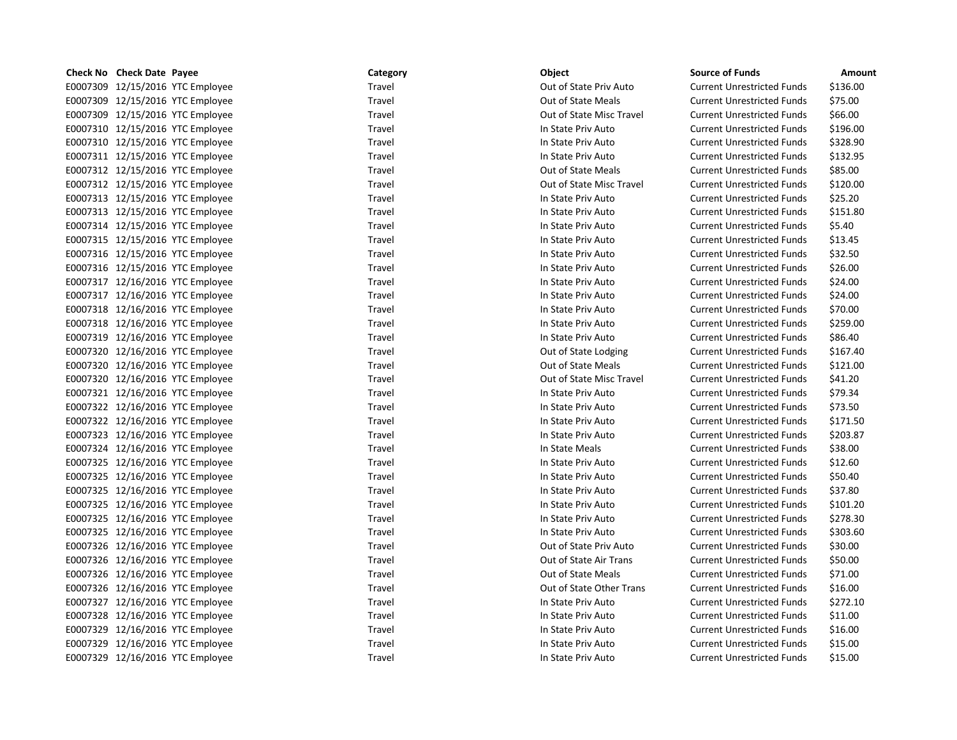| Check No Check Date Payee        | Category | Object                    | <b>Source of Funds</b>            | Amount   |
|----------------------------------|----------|---------------------------|-----------------------------------|----------|
| E0007309 12/15/2016 YTC Employee | Travel   | Out of State Priv Auto    | <b>Current Unrestricted Funds</b> | \$136.00 |
| E0007309 12/15/2016 YTC Employee | Travel   | <b>Out of State Meals</b> | <b>Current Unrestricted Funds</b> | \$75.00  |
| E0007309 12/15/2016 YTC Employee | Travel   | Out of State Misc Travel  | <b>Current Unrestricted Funds</b> | \$66.00  |
| E0007310 12/15/2016 YTC Employee | Travel   | In State Priv Auto        | <b>Current Unrestricted Funds</b> | \$196.00 |
| E0007310 12/15/2016 YTC Employee | Travel   | In State Priv Auto        | <b>Current Unrestricted Funds</b> | \$328.90 |
| E0007311 12/15/2016 YTC Employee | Travel   | In State Priv Auto        | <b>Current Unrestricted Funds</b> | \$132.95 |
| E0007312 12/15/2016 YTC Employee | Travel   | Out of State Meals        | <b>Current Unrestricted Funds</b> | \$85.00  |
| E0007312 12/15/2016 YTC Employee | Travel   | Out of State Misc Travel  | <b>Current Unrestricted Funds</b> | \$120.00 |
| E0007313 12/15/2016 YTC Employee | Travel   | In State Priv Auto        | <b>Current Unrestricted Funds</b> | \$25.20  |
| E0007313 12/15/2016 YTC Employee | Travel   | In State Priv Auto        | <b>Current Unrestricted Funds</b> | \$151.80 |
| E0007314 12/15/2016 YTC Employee | Travel   | In State Priv Auto        | <b>Current Unrestricted Funds</b> | \$5.40   |
| E0007315 12/15/2016 YTC Employee | Travel   | In State Priv Auto        | <b>Current Unrestricted Funds</b> | \$13.45  |
| E0007316 12/15/2016 YTC Employee | Travel   | In State Priv Auto        | <b>Current Unrestricted Funds</b> | \$32.50  |
| E0007316 12/15/2016 YTC Employee | Travel   | In State Priv Auto        | <b>Current Unrestricted Funds</b> | \$26.00  |
| E0007317 12/16/2016 YTC Employee | Travel   | In State Priv Auto        | <b>Current Unrestricted Funds</b> | \$24.00  |
| E0007317 12/16/2016 YTC Employee | Travel   | In State Priv Auto        | <b>Current Unrestricted Funds</b> | \$24.00  |
| E0007318 12/16/2016 YTC Employee | Travel   | In State Priv Auto        | <b>Current Unrestricted Funds</b> | \$70.00  |
| E0007318 12/16/2016 YTC Employee | Travel   | In State Priv Auto        | <b>Current Unrestricted Funds</b> | \$259.00 |
| E0007319 12/16/2016 YTC Employee | Travel   | In State Priv Auto        | <b>Current Unrestricted Funds</b> | \$86.40  |
| E0007320 12/16/2016 YTC Employee | Travel   | Out of State Lodging      | <b>Current Unrestricted Funds</b> | \$167.40 |
| E0007320 12/16/2016 YTC Employee | Travel   | Out of State Meals        | <b>Current Unrestricted Funds</b> | \$121.00 |
| E0007320 12/16/2016 YTC Employee | Travel   | Out of State Misc Travel  | <b>Current Unrestricted Funds</b> | \$41.20  |
| E0007321 12/16/2016 YTC Employee | Travel   | In State Priv Auto        | <b>Current Unrestricted Funds</b> | \$79.34  |
| E0007322 12/16/2016 YTC Employee | Travel   | In State Priv Auto        | <b>Current Unrestricted Funds</b> | \$73.50  |
| E0007322 12/16/2016 YTC Employee | Travel   | In State Priv Auto        | <b>Current Unrestricted Funds</b> | \$171.50 |
| E0007323 12/16/2016 YTC Employee | Travel   | In State Priv Auto        | <b>Current Unrestricted Funds</b> | \$203.87 |
| E0007324 12/16/2016 YTC Employee | Travel   | In State Meals            | <b>Current Unrestricted Funds</b> | \$38.00  |
| E0007325 12/16/2016 YTC Employee | Travel   | In State Priv Auto        | <b>Current Unrestricted Funds</b> | \$12.60  |
| E0007325 12/16/2016 YTC Employee | Travel   | In State Priv Auto        | <b>Current Unrestricted Funds</b> | \$50.40  |
| E0007325 12/16/2016 YTC Employee | Travel   | In State Priv Auto        | <b>Current Unrestricted Funds</b> | \$37.80  |
| E0007325 12/16/2016 YTC Employee | Travel   | In State Priv Auto        | <b>Current Unrestricted Funds</b> | \$101.20 |
| E0007325 12/16/2016 YTC Employee | Travel   | In State Priv Auto        | <b>Current Unrestricted Funds</b> | \$278.30 |
| E0007325 12/16/2016 YTC Employee | Travel   | In State Priv Auto        | <b>Current Unrestricted Funds</b> | \$303.60 |
| E0007326 12/16/2016 YTC Employee | Travel   | Out of State Priv Auto    | <b>Current Unrestricted Funds</b> | \$30.00  |
| E0007326 12/16/2016 YTC Employee | Travel   | Out of State Air Trans    | <b>Current Unrestricted Funds</b> | \$50.00  |
| E0007326 12/16/2016 YTC Employee | Travel   | Out of State Meals        | <b>Current Unrestricted Funds</b> | \$71.00  |
| E0007326 12/16/2016 YTC Employee | Travel   | Out of State Other Trans  | <b>Current Unrestricted Funds</b> | \$16.00  |
| E0007327 12/16/2016 YTC Employee | Travel   | In State Priv Auto        | <b>Current Unrestricted Funds</b> | \$272.10 |
| E0007328 12/16/2016 YTC Employee | Travel   | In State Priv Auto        | <b>Current Unrestricted Funds</b> | \$11.00  |
| E0007329 12/16/2016 YTC Employee | Travel   | In State Priv Auto        | <b>Current Unrestricted Funds</b> | \$16.00  |
| E0007329 12/16/2016 YTC Employee | Travel   | In State Priv Auto        | <b>Current Unrestricted Funds</b> | \$15.00  |
| E0007329 12/16/2016 YTC Employee | Travel   | In State Priv Auto        | <b>Current Unrestricted Funds</b> | \$15.00  |